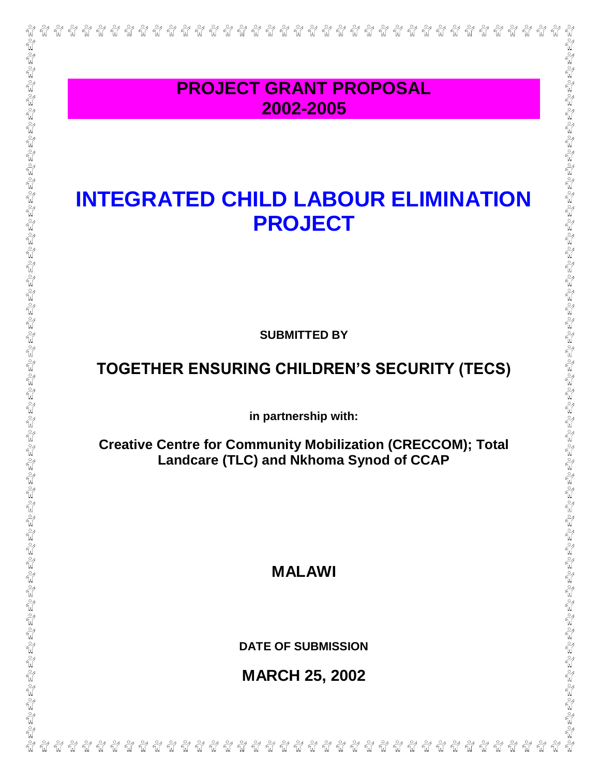| <b>PROJECT GRANT PROPOSAL</b>                                                                                 |
|---------------------------------------------------------------------------------------------------------------|
| 2002-2005                                                                                                     |
| <b>INTEGRATED CHILD LABOUR ELIMINATION</b><br><b>PROJECT</b>                                                  |
| <b>SUBMITTED BY</b>                                                                                           |
| TOGETHER ENSURING CHILDREN'S SECURITY (TECS)                                                                  |
| in partnership with:                                                                                          |
| <b>Creative Centre for Community Mobilization (CRECCOM); Total</b><br>Landcare (TLC) and Nkhoma Synod of CCAP |
|                                                                                                               |
| <b>MALAWI</b>                                                                                                 |
| <b>DATE OF SUBMISSION</b>                                                                                     |
| <b>MARCH 25, 2002</b>                                                                                         |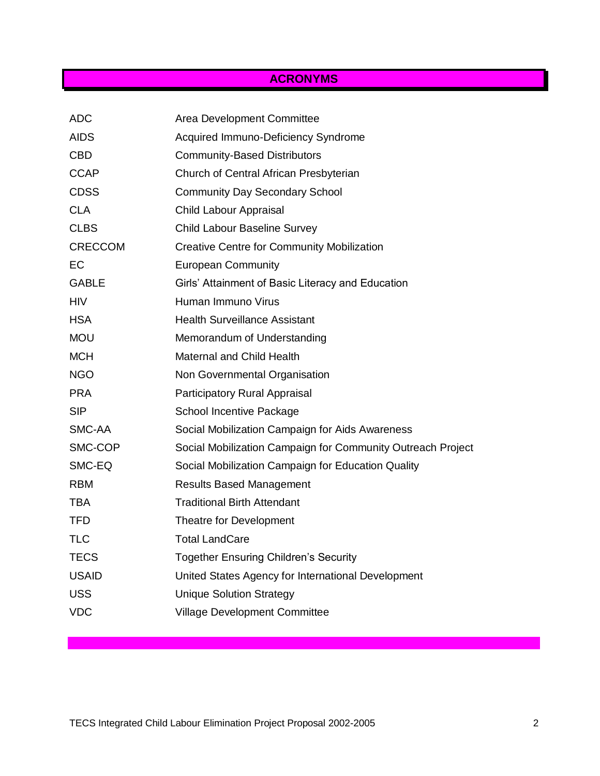# **ACRONYMS**

| <b>ADC</b>     | Area Development Committee                                  |
|----------------|-------------------------------------------------------------|
| <b>AIDS</b>    | Acquired Immuno-Deficiency Syndrome                         |
| <b>CBD</b>     | <b>Community-Based Distributors</b>                         |
| <b>CCAP</b>    | Church of Central African Presbyterian                      |
| <b>CDSS</b>    | <b>Community Day Secondary School</b>                       |
| <b>CLA</b>     | Child Labour Appraisal                                      |
| <b>CLBS</b>    | <b>Child Labour Baseline Survey</b>                         |
| <b>CRECCOM</b> | <b>Creative Centre for Community Mobilization</b>           |
| EС             | <b>European Community</b>                                   |
| <b>GABLE</b>   | Girls' Attainment of Basic Literacy and Education           |
| <b>HIV</b>     | Human Immuno Virus                                          |
| <b>HSA</b>     | <b>Health Surveillance Assistant</b>                        |
| <b>MOU</b>     | Memorandum of Understanding                                 |
| <b>MCH</b>     | <b>Maternal and Child Health</b>                            |
| <b>NGO</b>     | Non Governmental Organisation                               |
| <b>PRA</b>     | Participatory Rural Appraisal                               |
| <b>SIP</b>     | <b>School Incentive Package</b>                             |
| SMC-AA         | Social Mobilization Campaign for Aids Awareness             |
| SMC-COP        | Social Mobilization Campaign for Community Outreach Project |
| SMC-EQ         | Social Mobilization Campaign for Education Quality          |
| <b>RBM</b>     | <b>Results Based Management</b>                             |
| <b>TBA</b>     | <b>Traditional Birth Attendant</b>                          |
| <b>TFD</b>     | Theatre for Development                                     |
| <b>TLC</b>     | <b>Total LandCare</b>                                       |
| <b>TECS</b>    | <b>Together Ensuring Children's Security</b>                |
| <b>USAID</b>   | United States Agency for International Development          |
| <b>USS</b>     | <b>Unique Solution Strategy</b>                             |
| <b>VDC</b>     | <b>Village Development Committee</b>                        |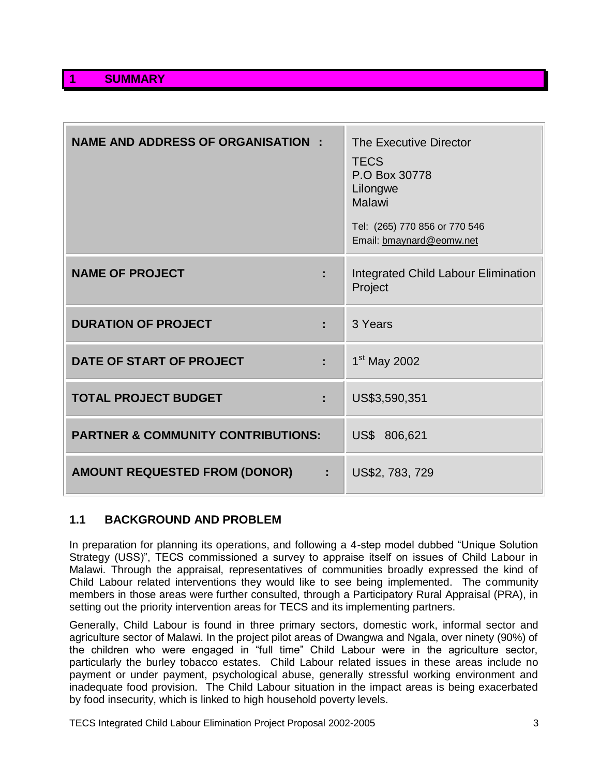| <b>NAME AND ADDRESS OF ORGANISATION :</b>     | The Executive Director<br><b>TECS</b><br>P.O Box 30778<br>Lilongwe<br><b>Malawi</b><br>Tel: (265) 770 856 or 770 546<br>Email: bmaynard@eomw.net |
|-----------------------------------------------|--------------------------------------------------------------------------------------------------------------------------------------------------|
| <b>NAME OF PROJECT</b>                        | Integrated Child Labour Elimination<br>Project                                                                                                   |
| <b>DURATION OF PROJECT</b><br>÷               | 3 Years                                                                                                                                          |
| DATE OF START OF PROJECT<br>t                 | 1 <sup>st</sup> May 2002                                                                                                                         |
| <b>TOTAL PROJECT BUDGET</b><br>t              | US\$3,590,351                                                                                                                                    |
| <b>PARTNER &amp; COMMUNITY CONTRIBUTIONS:</b> | US\$ 806,621                                                                                                                                     |
| <b>AMOUNT REQUESTED FROM (DONOR)</b>          | US\$2, 783, 729                                                                                                                                  |

## **1.1 BACKGROUND AND PROBLEM**

In preparation for planning its operations, and following a 4-step model dubbed "Unique Solution Strategy (USS)", TECS commissioned a survey to appraise itself on issues of Child Labour in Malawi. Through the appraisal, representatives of communities broadly expressed the kind of Child Labour related interventions they would like to see being implemented. The community members in those areas were further consulted, through a Participatory Rural Appraisal (PRA), in setting out the priority intervention areas for TECS and its implementing partners.

Generally, Child Labour is found in three primary sectors, domestic work, informal sector and agriculture sector of Malawi. In the project pilot areas of Dwangwa and Ngala, over ninety (90%) of the children who were engaged in "full time" Child Labour were in the agriculture sector, particularly the burley tobacco estates. Child Labour related issues in these areas include no payment or under payment, psychological abuse, generally stressful working environment and inadequate food provision. The Child Labour situation in the impact areas is being exacerbated by food insecurity, which is linked to high household poverty levels.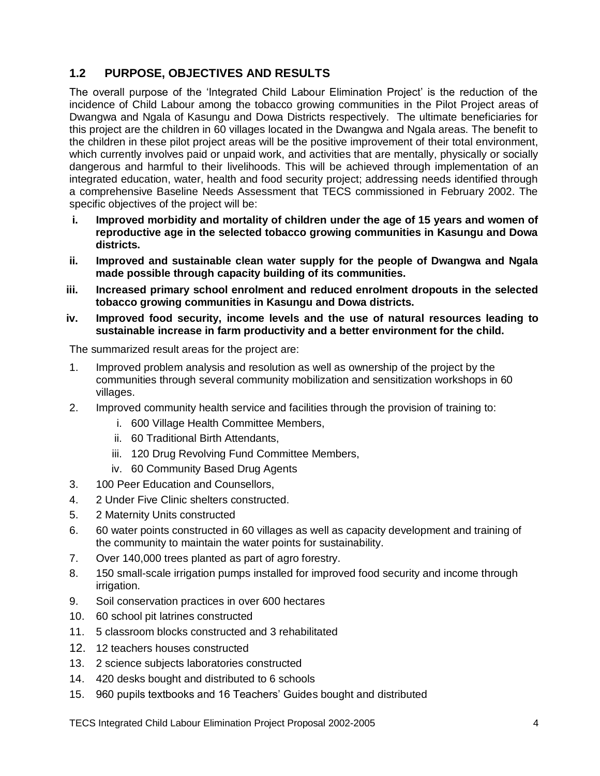## **1.2 PURPOSE, OBJECTIVES AND RESULTS**

The overall purpose of the 'Integrated Child Labour Elimination Project' is the reduction of the incidence of Child Labour among the tobacco growing communities in the Pilot Project areas of Dwangwa and Ngala of Kasungu and Dowa Districts respectively. The ultimate beneficiaries for this project are the children in 60 villages located in the Dwangwa and Ngala areas. The benefit to the children in these pilot project areas will be the positive improvement of their total environment, which currently involves paid or unpaid work, and activities that are mentally, physically or socially dangerous and harmful to their livelihoods. This will be achieved through implementation of an integrated education, water, health and food security project; addressing needs identified through a comprehensive Baseline Needs Assessment that TECS commissioned in February 2002. The specific objectives of the project will be:

- **i. Improved morbidity and mortality of children under the age of 15 years and women of reproductive age in the selected tobacco growing communities in Kasungu and Dowa districts.**
- **ii. Improved and sustainable clean water supply for the people of Dwangwa and Ngala made possible through capacity building of its communities.**
- **iii. Increased primary school enrolment and reduced enrolment dropouts in the selected tobacco growing communities in Kasungu and Dowa districts.**
- **iv. Improved food security, income levels and the use of natural resources leading to sustainable increase in farm productivity and a better environment for the child.**

The summarized result areas for the project are:

- 1. Improved problem analysis and resolution as well as ownership of the project by the communities through several community mobilization and sensitization workshops in 60 villages.
- 2. Improved community health service and facilities through the provision of training to:
	- i. 600 Village Health Committee Members,
	- ii. 60 Traditional Birth Attendants,
	- iii. 120 Drug Revolving Fund Committee Members,
	- iv. 60 Community Based Drug Agents
- 3. 100 Peer Education and Counsellors,
- 4. 2 Under Five Clinic shelters constructed.
- 5. 2 Maternity Units constructed
- 6. 60 water points constructed in 60 villages as well as capacity development and training of the community to maintain the water points for sustainability.
- 7. Over 140,000 trees planted as part of agro forestry.
- 8. 150 small-scale irrigation pumps installed for improved food security and income through irrigation.
- 9. Soil conservation practices in over 600 hectares
- 10. 60 school pit latrines constructed
- 11. 5 classroom blocks constructed and 3 rehabilitated
- 12. 12 teachers houses constructed
- 13. 2 science subjects laboratories constructed
- 14. 420 desks bought and distributed to 6 schools
- 15. 960 pupils textbooks and 16 Teachers' Guides bought and distributed

TECS Integrated Child Labour Elimination Project Proposal 2002-2005 4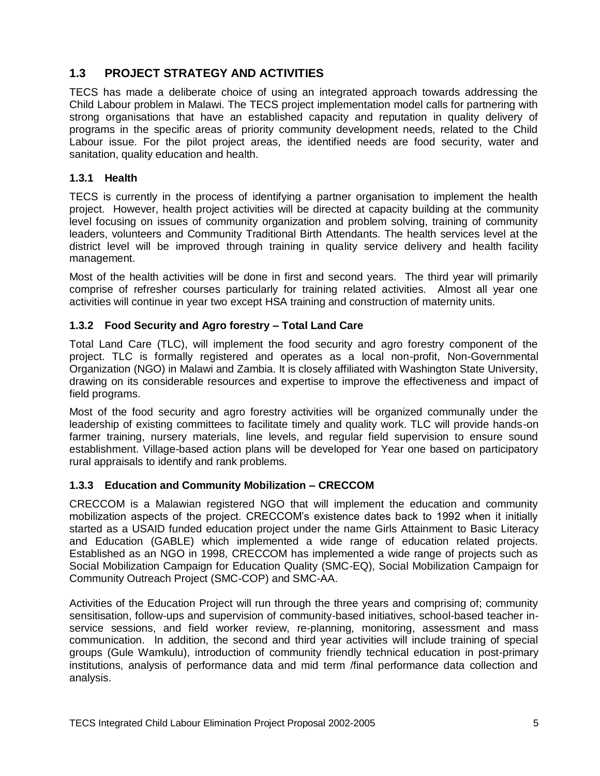## **1.3 PROJECT STRATEGY AND ACTIVITIES**

TECS has made a deliberate choice of using an integrated approach towards addressing the Child Labour problem in Malawi. The TECS project implementation model calls for partnering with strong organisations that have an established capacity and reputation in quality delivery of programs in the specific areas of priority community development needs, related to the Child Labour issue. For the pilot project areas, the identified needs are food security, water and sanitation, quality education and health.

## **1.3.1 Health**

TECS is currently in the process of identifying a partner organisation to implement the health project. However, health project activities will be directed at capacity building at the community level focusing on issues of community organization and problem solving, training of community leaders, volunteers and Community Traditional Birth Attendants. The health services level at the district level will be improved through training in quality service delivery and health facility management.

Most of the health activities will be done in first and second years. The third year will primarily comprise of refresher courses particularly for training related activities. Almost all year one activities will continue in year two except HSA training and construction of maternity units.

## **1.3.2 Food Security and Agro forestry – Total Land Care**

Total Land Care (TLC), will implement the food security and agro forestry component of the project. TLC is formally registered and operates as a local non-profit, Non-Governmental Organization (NGO) in Malawi and Zambia. It is closely affiliated with Washington State University, drawing on its considerable resources and expertise to improve the effectiveness and impact of field programs.

Most of the food security and agro forestry activities will be organized communally under the leadership of existing committees to facilitate timely and quality work. TLC will provide hands-on farmer training, nursery materials, line levels, and regular field supervision to ensure sound establishment. Village-based action plans will be developed for Year one based on participatory rural appraisals to identify and rank problems.

## **1.3.3 Education and Community Mobilization – CRECCOM**

CRECCOM is a Malawian registered NGO that will implement the education and community mobilization aspects of the project. CRECCOM"s existence dates back to 1992 when it initially started as a USAID funded education project under the name Girls Attainment to Basic Literacy and Education (GABLE) which implemented a wide range of education related projects. Established as an NGO in 1998, CRECCOM has implemented a wide range of projects such as Social Mobilization Campaign for Education Quality (SMC-EQ), Social Mobilization Campaign for Community Outreach Project (SMC-COP) and SMC-AA.

Activities of the Education Project will run through the three years and comprising of; community sensitisation, follow-ups and supervision of community-based initiatives, school-based teacher inservice sessions, and field worker review, re-planning, monitoring, assessment and mass communication. In addition, the second and third year activities will include training of special groups (Gule Wamkulu), introduction of community friendly technical education in post-primary institutions, analysis of performance data and mid term /final performance data collection and analysis.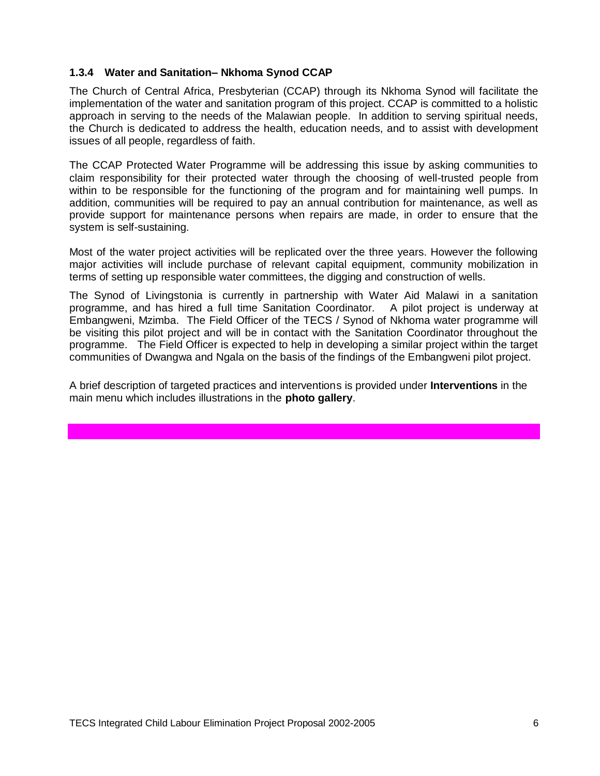### **1.3.4 Water and Sanitation– Nkhoma Synod CCAP**

The Church of Central Africa, Presbyterian (CCAP) through its Nkhoma Synod will facilitate the implementation of the water and sanitation program of this project. CCAP is committed to a holistic approach in serving to the needs of the Malawian people. In addition to serving spiritual needs, the Church is dedicated to address the health, education needs, and to assist with development issues of all people, regardless of faith.

The CCAP Protected Water Programme will be addressing this issue by asking communities to claim responsibility for their protected water through the choosing of well-trusted people from within to be responsible for the functioning of the program and for maintaining well pumps. In addition, communities will be required to pay an annual contribution for maintenance, as well as provide support for maintenance persons when repairs are made, in order to ensure that the system is self-sustaining.

Most of the water project activities will be replicated over the three years. However the following major activities will include purchase of relevant capital equipment, community mobilization in terms of setting up responsible water committees, the digging and construction of wells.

The Synod of Livingstonia is currently in partnership with Water Aid Malawi in a sanitation programme, and has hired a full time Sanitation Coordinator. A pilot project is underway at Embangweni, Mzimba. The Field Officer of the TECS / Synod of Nkhoma water programme will be visiting this pilot project and will be in contact with the Sanitation Coordinator throughout the programme. The Field Officer is expected to help in developing a similar project within the target communities of Dwangwa and Ngala on the basis of the findings of the Embangweni pilot project.

A brief description of targeted practices and interventions is provided under **Interventions** in the main menu which includes illustrations in the **photo gallery**.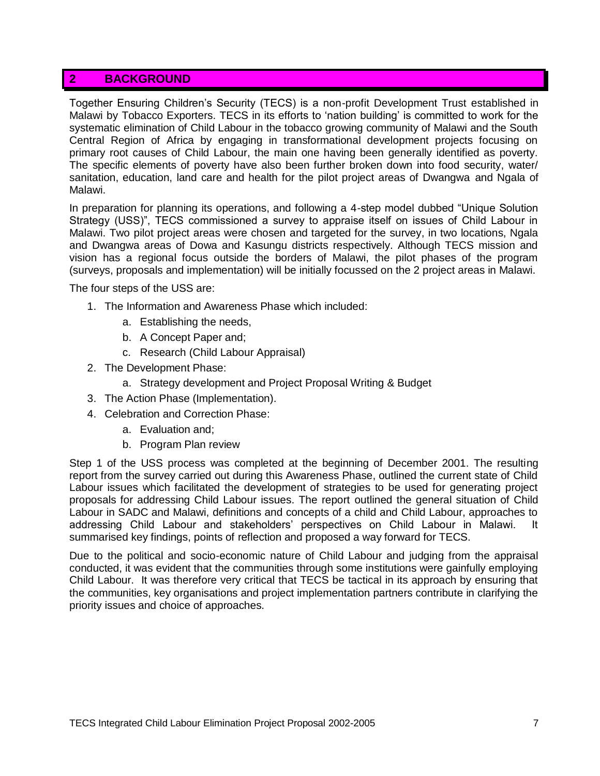## **2 BACKGROUND**

Together Ensuring Children"s Security (TECS) is a non-profit Development Trust established in Malawi by Tobacco Exporters. TECS in its efforts to "nation building" is committed to work for the systematic elimination of Child Labour in the tobacco growing community of Malawi and the South Central Region of Africa by engaging in transformational development projects focusing on primary root causes of Child Labour, the main one having been generally identified as poverty. The specific elements of poverty have also been further broken down into food security, water/ sanitation, education, land care and health for the pilot project areas of Dwangwa and Ngala of Malawi.

In preparation for planning its operations, and following a 4-step model dubbed "Unique Solution Strategy (USS)", TECS commissioned a survey to appraise itself on issues of Child Labour in Malawi. Two pilot project areas were chosen and targeted for the survey, in two locations, Ngala and Dwangwa areas of Dowa and Kasungu districts respectively. Although TECS mission and vision has a regional focus outside the borders of Malawi, the pilot phases of the program (surveys, proposals and implementation) will be initially focussed on the 2 project areas in Malawi.

The four steps of the USS are:

- 1. The Information and Awareness Phase which included:
	- a. Establishing the needs,
	- b. A Concept Paper and;
	- c. Research (Child Labour Appraisal)
- 2. The Development Phase:
	- a. Strategy development and Project Proposal Writing & Budget
- 3. The Action Phase (Implementation).
- 4. Celebration and Correction Phase:
	- a. Evaluation and;
	- b. Program Plan review

Step 1 of the USS process was completed at the beginning of December 2001. The resulting report from the survey carried out during this Awareness Phase, outlined the current state of Child Labour issues which facilitated the development of strategies to be used for generating project proposals for addressing Child Labour issues. The report outlined the general situation of Child Labour in SADC and Malawi, definitions and concepts of a child and Child Labour, approaches to addressing Child Labour and stakeholders" perspectives on Child Labour in Malawi. It summarised key findings, points of reflection and proposed a way forward for TECS.

Due to the political and socio-economic nature of Child Labour and judging from the appraisal conducted, it was evident that the communities through some institutions were gainfully employing Child Labour. It was therefore very critical that TECS be tactical in its approach by ensuring that the communities, key organisations and project implementation partners contribute in clarifying the priority issues and choice of approaches.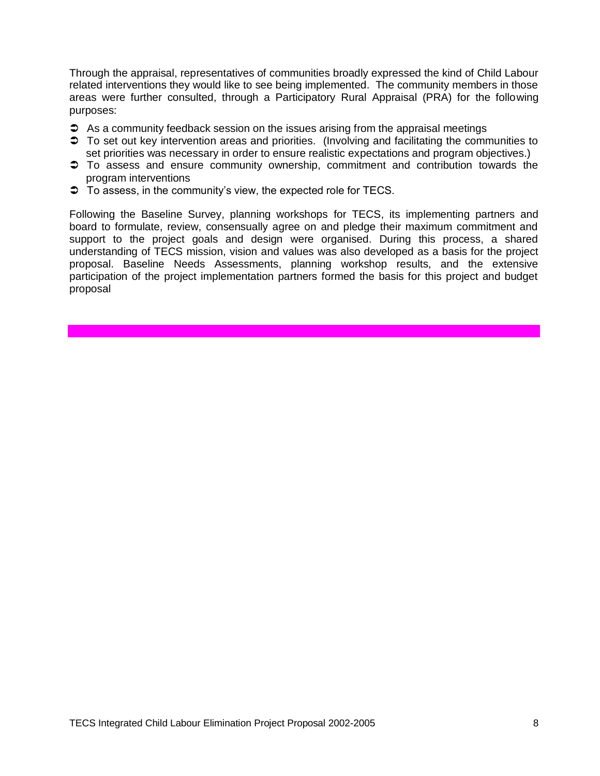Through the appraisal, representatives of communities broadly expressed the kind of Child Labour related interventions they would like to see being implemented. The community members in those areas were further consulted, through a Participatory Rural Appraisal (PRA) for the following purposes:

- As a community feedback session on the issues arising from the appraisal meetings
- $\supset$  To set out key intervention areas and priorities. (Involving and facilitating the communities to set priorities was necessary in order to ensure realistic expectations and program objectives.)
- To assess and ensure community ownership, commitment and contribution towards the program interventions
- $\supset$  To assess, in the community's view, the expected role for TECS.

Following the Baseline Survey, planning workshops for TECS, its implementing partners and board to formulate, review, consensually agree on and pledge their maximum commitment and support to the project goals and design were organised. During this process, a shared understanding of TECS mission, vision and values was also developed as a basis for the project proposal. Baseline Needs Assessments, planning workshop results, and the extensive participation of the project implementation partners formed the basis for this project and budget proposal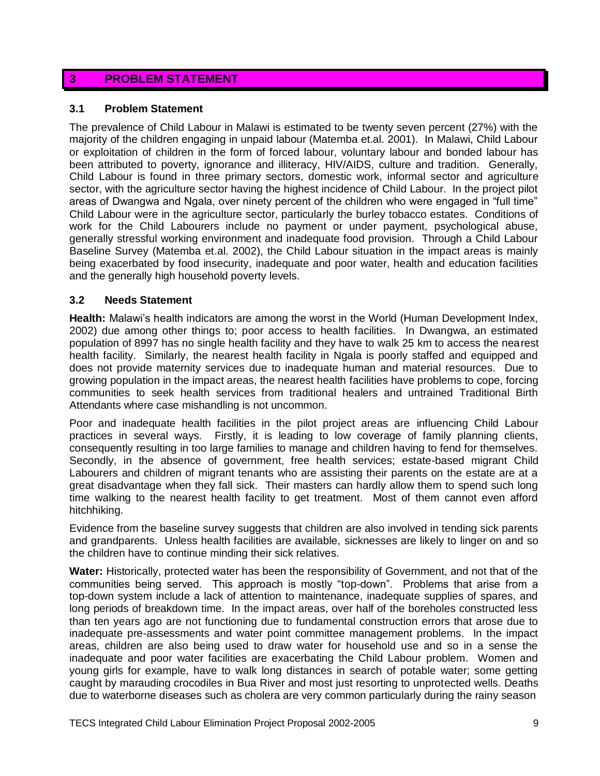## **3 PROBLEM STATEMENT**

#### **3.1 Problem Statement**

The prevalence of Child Labour in Malawi is estimated to be twenty seven percent (27%) with the majority of the children engaging in unpaid labour (Matemba et.al. 2001). In Malawi, Child Labour or exploitation of children in the form of forced labour, voluntary labour and bonded labour has been attributed to poverty, ignorance and illiteracy, HIV/AIDS, culture and tradition. Generally, Child Labour is found in three primary sectors, domestic work, informal sector and agriculture sector, with the agriculture sector having the highest incidence of Child Labour. In the project pilot areas of Dwangwa and Ngala, over ninety percent of the children who were engaged in "full time" Child Labour were in the agriculture sector, particularly the burley tobacco estates. Conditions of work for the Child Labourers include no payment or under payment, psychological abuse, generally stressful working environment and inadequate food provision. Through a Child Labour Baseline Survey (Matemba et.al. 2002), the Child Labour situation in the impact areas is mainly being exacerbated by food insecurity, inadequate and poor water, health and education facilities and the generally high household poverty levels.

#### **3.2 Needs Statement**

**Health:** Malawi"s health indicators are among the worst in the World (Human Development Index, 2002) due among other things to; poor access to health facilities. In Dwangwa, an estimated population of 8997 has no single health facility and they have to walk 25 km to access the nearest health facility. Similarly, the nearest health facility in Ngala is poorly staffed and equipped and does not provide maternity services due to inadequate human and material resources. Due to growing population in the impact areas, the nearest health facilities have problems to cope, forcing communities to seek health services from traditional healers and untrained Traditional Birth Attendants where case mishandling is not uncommon.

Poor and inadequate health facilities in the pilot project areas are influencing Child Labour practices in several ways. Firstly, it is leading to low coverage of family planning clients, consequently resulting in too large families to manage and children having to fend for themselves. Secondly, in the absence of government, free health services; estate-based migrant Child Labourers and children of migrant tenants who are assisting their parents on the estate are at a great disadvantage when they fall sick. Their masters can hardly allow them to spend such long time walking to the nearest health facility to get treatment. Most of them cannot even afford hitchhiking.

Evidence from the baseline survey suggests that children are also involved in tending sick parents and grandparents. Unless health facilities are available, sicknesses are likely to linger on and so the children have to continue minding their sick relatives.

**Water:** Historically, protected water has been the responsibility of Government, and not that of the communities being served. This approach is mostly "top-down". Problems that arise from a top-down system include a lack of attention to maintenance, inadequate supplies of spares, and long periods of breakdown time. In the impact areas, over half of the boreholes constructed less than ten years ago are not functioning due to fundamental construction errors that arose due to inadequate pre-assessments and water point committee management problems. In the impact areas, children are also being used to draw water for household use and so in a sense the inadequate and poor water facilities are exacerbating the Child Labour problem. Women and young girls for example, have to walk long distances in search of potable water; some getting caught by marauding crocodiles in Bua River and most just resorting to unprotected wells. Deaths due to waterborne diseases such as cholera are very common particularly during the rainy season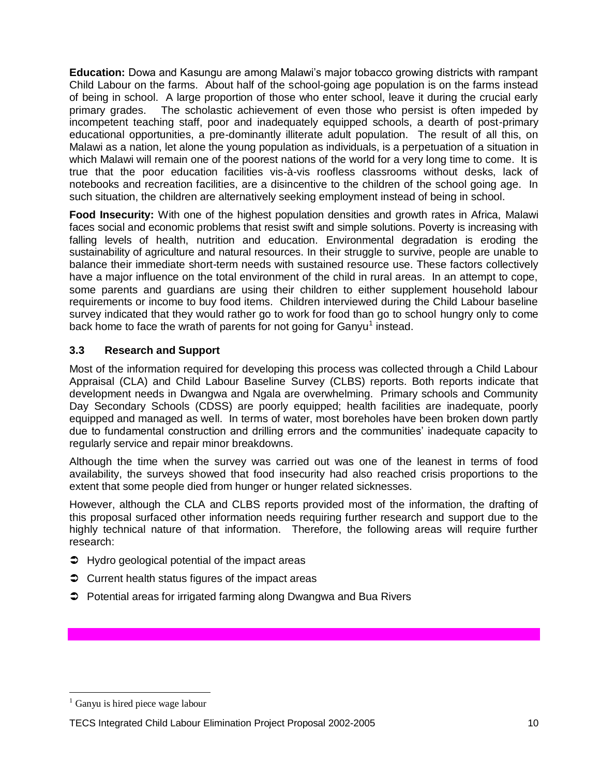**Education:** Dowa and Kasungu are among Malawi"s major tobacco growing districts with rampant Child Labour on the farms. About half of the school-going age population is on the farms instead of being in school. A large proportion of those who enter school, leave it during the crucial early primary grades. The scholastic achievement of even those who persist is often impeded by incompetent teaching staff, poor and inadequately equipped schools, a dearth of post-primary educational opportunities, a pre-dominantly illiterate adult population. The result of all this, on Malawi as a nation, let alone the young population as individuals, is a perpetuation of a situation in which Malawi will remain one of the poorest nations of the world for a very long time to come. It is true that the poor education facilities vis-à-vis roofless classrooms without desks, lack of notebooks and recreation facilities, are a disincentive to the children of the school going age. In such situation, the children are alternatively seeking employment instead of being in school.

**Food Insecurity:** With one of the highest population densities and growth rates in Africa, Malawi faces social and economic problems that resist swift and simple solutions. Poverty is increasing with falling levels of health, nutrition and education. Environmental degradation is eroding the sustainability of agriculture and natural resources. In their struggle to survive, people are unable to balance their immediate short-term needs with sustained resource use. These factors collectively have a major influence on the total environment of the child in rural areas. In an attempt to cope, some parents and guardians are using their children to either supplement household labour requirements or income to buy food items. Children interviewed during the Child Labour baseline survey indicated that they would rather go to work for food than go to school hungry only to come back home to face the wrath of parents for not going for Ganyu<sup>1</sup> instead.

## **3.3 Research and Support**

Most of the information required for developing this process was collected through a Child Labour Appraisal (CLA) and Child Labour Baseline Survey (CLBS) reports. Both reports indicate that development needs in Dwangwa and Ngala are overwhelming. Primary schools and Community Day Secondary Schools (CDSS) are poorly equipped; health facilities are inadequate, poorly equipped and managed as well. In terms of water, most boreholes have been broken down partly due to fundamental construction and drilling errors and the communities' inadequate capacity to regularly service and repair minor breakdowns.

Although the time when the survey was carried out was one of the leanest in terms of food availability, the surveys showed that food insecurity had also reached crisis proportions to the extent that some people died from hunger or hunger related sicknesses.

However, although the CLA and CLBS reports provided most of the information, the drafting of this proposal surfaced other information needs requiring further research and support due to the highly technical nature of that information. Therefore, the following areas will require further research:

- $\supset$  Hydro geological potential of the impact areas
- **◯** Current health status figures of the impact areas
- **→** Potential areas for irrigated farming along Dwangwa and Bua Rivers

 $\overline{a}$ 

Ganyu is hired piece wage labour

TECS Integrated Child Labour Elimination Project Proposal 2002-2005 10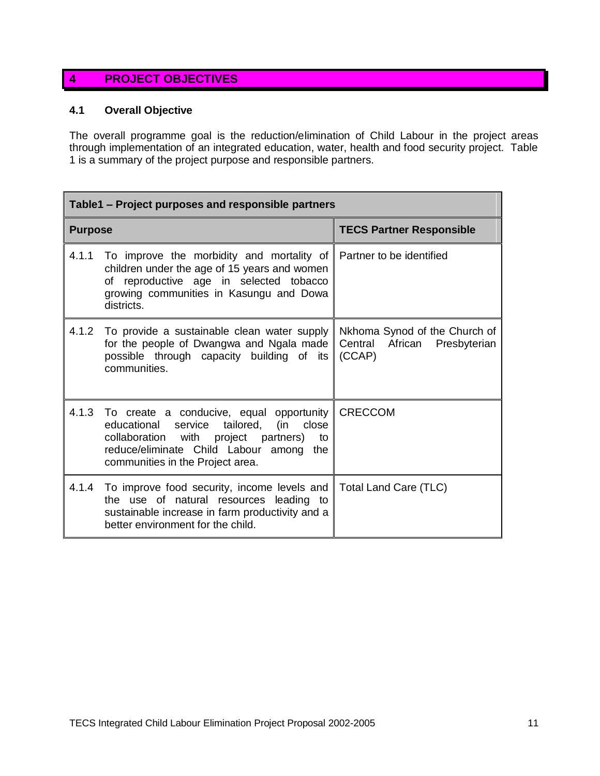# **4 PROJECT OBJECTIVES**

### **4.1 Overall Objective**

The overall programme goal is the reduction/elimination of Child Labour in the project areas through implementation of an integrated education, water, health and food security project. Table 1 is a summary of the project purpose and responsible partners.

| Table1 – Project purposes and responsible partners |                                                                                                                                                                                                                           |                                                                         |  |  |  |
|----------------------------------------------------|---------------------------------------------------------------------------------------------------------------------------------------------------------------------------------------------------------------------------|-------------------------------------------------------------------------|--|--|--|
| <b>Purpose</b>                                     |                                                                                                                                                                                                                           | <b>TECS Partner Responsible</b>                                         |  |  |  |
| 4.1.1                                              | To improve the morbidity and mortality of<br>children under the age of 15 years and women<br>of reproductive age in selected tobacco<br>growing communities in Kasungu and Dowa<br>districts.                             | Partner to be identified                                                |  |  |  |
| 4.1.2                                              | To provide a sustainable clean water supply<br>for the people of Dwangwa and Ngala made<br>possible through capacity building of its<br>communities.                                                                      | Nkhoma Synod of the Church of<br>Central African Presbyterian<br>(CCAP) |  |  |  |
| 4.1.3                                              | To create a conducive, equal opportunity<br>educational service tailored,<br>close<br>(in<br>collaboration with project partners)<br>to<br>reduce/eliminate Child Labour among<br>the<br>communities in the Project area. | <b>CRECCOM</b>                                                          |  |  |  |
| 4.1.4                                              | To improve food security, income levels and<br>the use of natural resources leading to<br>sustainable increase in farm productivity and a<br>better environment for the child.                                            | Total Land Care (TLC)                                                   |  |  |  |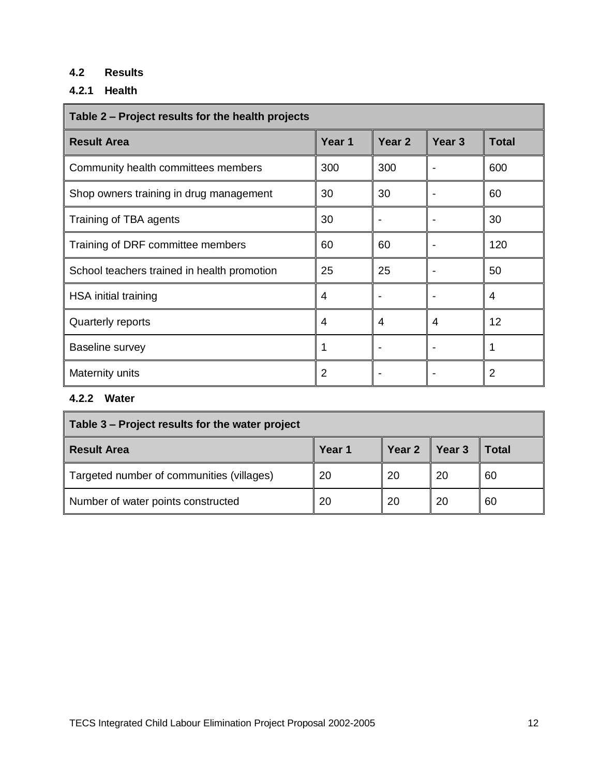# **4.2 Results**

# **4.2.1 Health**

| Table 2 – Project results for the health projects |                |                   |                   |                |  |
|---------------------------------------------------|----------------|-------------------|-------------------|----------------|--|
| <b>Result Area</b>                                | Year 1         | Year <sub>2</sub> | Year <sub>3</sub> | <b>Total</b>   |  |
| Community health committees members               | 300            | 300               |                   | 600            |  |
| Shop owners training in drug management           | 30             | 30                |                   | 60             |  |
| Training of TBA agents                            | 30             |                   |                   | 30             |  |
| Training of DRF committee members                 | 60             | 60                |                   | 120            |  |
| School teachers trained in health promotion       | 25             | 25                |                   | 50             |  |
| HSA initial training                              | 4              |                   |                   | 4              |  |
| Quarterly reports                                 | 4              | 4                 | 4                 | 12             |  |
| Baseline survey                                   |                |                   |                   | 1              |  |
| Maternity units                                   | $\overline{2}$ |                   | $\blacksquare$    | $\overline{2}$ |  |

## **4.2.2 Water**

| Table 3 – Project results for the water project |        |        |        |       |  |
|-------------------------------------------------|--------|--------|--------|-------|--|
| <b>Result Area</b>                              | Year 1 | Year 2 | Year 3 | Total |  |
| Targeted number of communities (villages)       | 20     | 20     | 20     | 60    |  |
| Number of water points constructed              | 20     | 20     | 20     | 60    |  |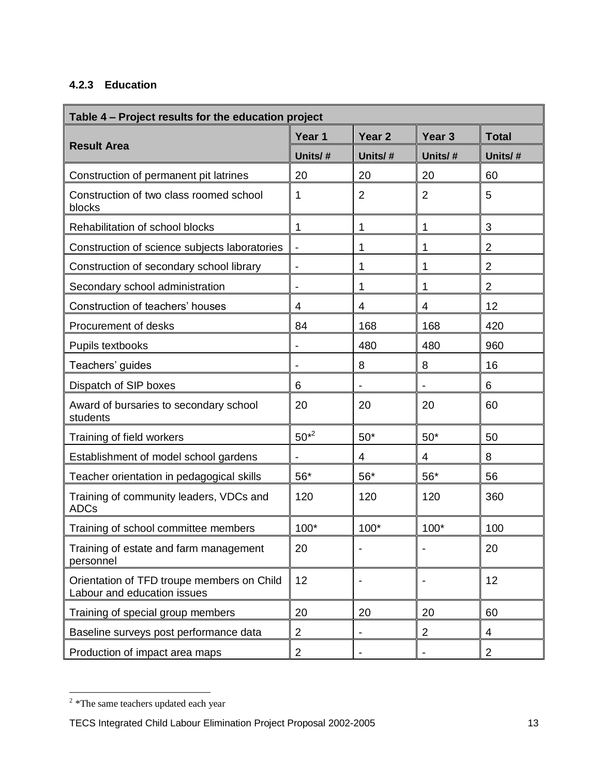## **4.2.3 Education**

| Table 4 - Project results for the education project                       |                              |                   |                   |                |  |
|---------------------------------------------------------------------------|------------------------------|-------------------|-------------------|----------------|--|
|                                                                           | Year 1                       | Year <sub>2</sub> | Year <sub>3</sub> | <b>Total</b>   |  |
| <b>Result Area</b>                                                        | Units/#                      | Units/#           | Units/#           | Units/#        |  |
| Construction of permanent pit latrines                                    | 20                           | 20                | 20                | 60             |  |
| Construction of two class roomed school<br>blocks                         | 1                            | $\overline{2}$    | 2                 | 5              |  |
| Rehabilitation of school blocks                                           | 1                            | 1                 | 1                 | 3              |  |
| Construction of science subjects laboratories                             | $\overline{\phantom{a}}$     | 1                 | 1                 | $\overline{2}$ |  |
| Construction of secondary school library                                  | $\qquad \qquad \blacksquare$ | 1                 | 1                 | $\overline{2}$ |  |
| Secondary school administration                                           | $\overline{\phantom{0}}$     | 1                 | 1                 | $\overline{2}$ |  |
| Construction of teachers' houses                                          | 4                            | 4                 | 4                 | 12             |  |
| Procurement of desks                                                      | 84                           | 168               | 168               | 420            |  |
| Pupils textbooks                                                          | $\overline{\phantom{0}}$     | 480               | 480               | 960            |  |
| Teachers' guides                                                          | $\blacksquare$               | 8                 | 8                 | 16             |  |
| Dispatch of SIP boxes                                                     | 6                            |                   |                   | 6              |  |
| Award of bursaries to secondary school<br>students                        | 20                           | 20                | 20                | 60             |  |
| Training of field workers                                                 | $50^{*2}$                    | $50*$             | $50*$             | 50             |  |
| Establishment of model school gardens                                     |                              | 4                 | 4                 | 8              |  |
| Teacher orientation in pedagogical skills                                 | $56*$                        | $56*$             | $56*$             | 56             |  |
| Training of community leaders, VDCs and<br><b>ADCs</b>                    | 120                          | 120               | 120               | 360            |  |
| Training of school committee members                                      | 100*                         | 100*              | $100*$            | 100            |  |
| Training of estate and farm management<br>personnel                       | 20                           |                   |                   | 20             |  |
| Orientation of TFD troupe members on Child<br>Labour and education issues | 12                           |                   |                   | 12             |  |
| Training of special group members                                         | 20                           | 20                | 20                | 60             |  |
| Baseline surveys post performance data                                    | $\overline{\mathbf{c}}$      |                   | $\overline{2}$    | 4              |  |
| Production of impact area maps                                            | $\overline{2}$               |                   |                   | $\overline{2}$ |  |

<sup>&</sup>lt;sup>2</sup> \*The same teachers updated each year

TECS Integrated Child Labour Elimination Project Proposal 2002-2005 13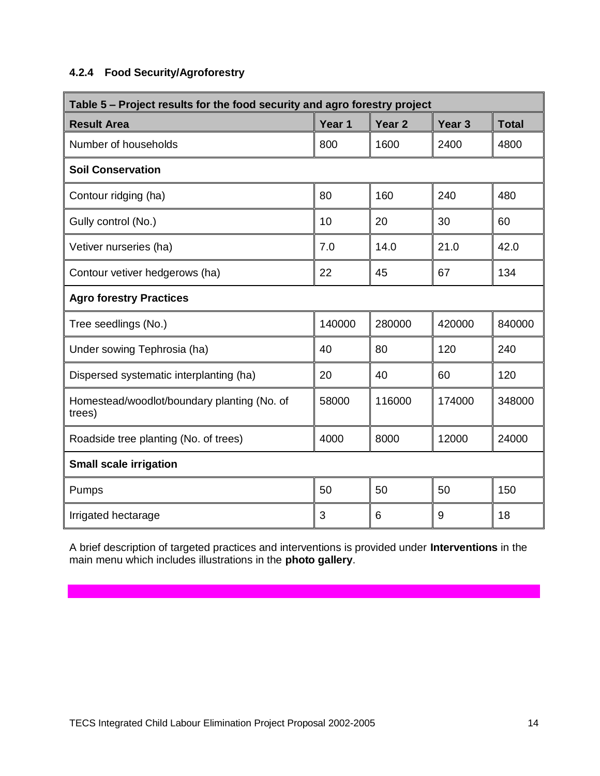## **4.2.4 Food Security/Agroforestry**

| Table 5 - Project results for the food security and agro forestry project |        |                   |                   |              |  |
|---------------------------------------------------------------------------|--------|-------------------|-------------------|--------------|--|
| <b>Result Area</b>                                                        | Year 1 | Year <sub>2</sub> | Year <sub>3</sub> | <b>Total</b> |  |
| Number of households                                                      | 800    | 1600              | 2400              | 4800         |  |
| <b>Soil Conservation</b>                                                  |        |                   |                   |              |  |
| Contour ridging (ha)                                                      | 80     | 160               | 240               | 480          |  |
| Gully control (No.)                                                       | 10     | 20                | 30                | 60           |  |
| Vetiver nurseries (ha)                                                    | 7.0    | 14.0              | 21.0              | 42.0         |  |
| Contour vetiver hedgerows (ha)                                            | 22     | 45                | 67                | 134          |  |
| <b>Agro forestry Practices</b>                                            |        |                   |                   |              |  |
| Tree seedlings (No.)                                                      | 140000 | 280000            | 420000            | 840000       |  |
| Under sowing Tephrosia (ha)                                               | 40     | 80                | 120               | 240          |  |
| Dispersed systematic interplanting (ha)                                   | 20     | 40                | 60                | 120          |  |
| Homestead/woodlot/boundary planting (No. of<br>trees)                     | 58000  | 116000            | 174000            | 348000       |  |
| Roadside tree planting (No. of trees)                                     | 4000   | 8000              | 12000             | 24000        |  |
| <b>Small scale irrigation</b>                                             |        |                   |                   |              |  |
| Pumps                                                                     | 50     | 50                | 50                | 150          |  |
| Irrigated hectarage                                                       | 3      | 6                 | 9                 | 18           |  |

A brief description of targeted practices and interventions is provided under **Interventions** in the main menu which includes illustrations in the **photo gallery**.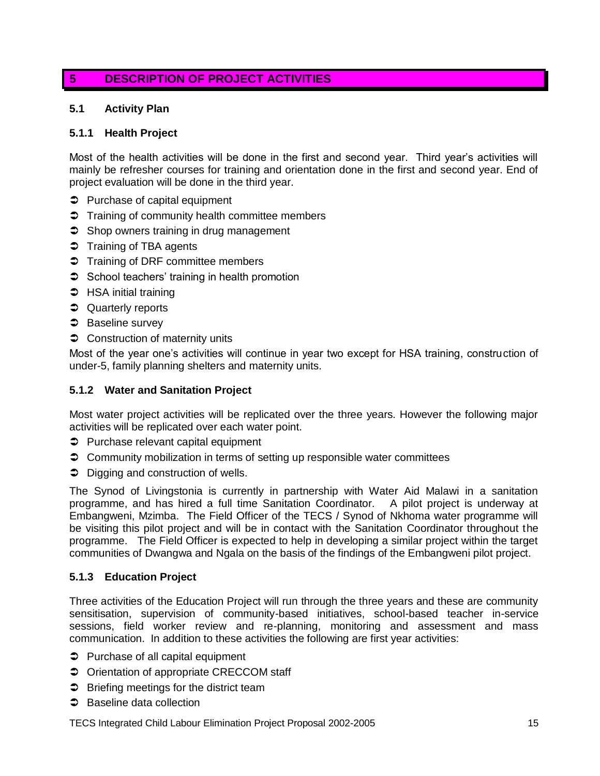## **5 DESCRIPTION OF PROJECT ACTIVITIES**

### **5.1 Activity Plan**

#### **5.1.1 Health Project**

Most of the health activities will be done in the first and second year. Third year"s activities will mainly be refresher courses for training and orientation done in the first and second year. End of project evaluation will be done in the third year.

- $\supset$  Purchase of capital equipment
- Training of community health committee members
- $\supset$  Shop owners training in drug management
- Training of TBA agents
- Training of DRF committee members
- $\supset$  School teachers' training in health promotion
- **→** HSA initial training
- **C** Quarterly reports
- $\Rightarrow$  Baseline survey
- **◯** Construction of maternity units

Most of the year one"s activities will continue in year two except for HSA training, construction of under-5, family planning shelters and maternity units.

#### **5.1.2 Water and Sanitation Project**

Most water project activities will be replicated over the three years. However the following major activities will be replicated over each water point.

- $\supset$  Purchase relevant capital equipment
- **◯** Community mobilization in terms of setting up responsible water committees
- $\supset$  Digging and construction of wells.

The Synod of Livingstonia is currently in partnership with Water Aid Malawi in a sanitation programme, and has hired a full time Sanitation Coordinator. A pilot project is underway at Embangweni, Mzimba. The Field Officer of the TECS / Synod of Nkhoma water programme will be visiting this pilot project and will be in contact with the Sanitation Coordinator throughout the programme. The Field Officer is expected to help in developing a similar project within the target communities of Dwangwa and Ngala on the basis of the findings of the Embangweni pilot project.

### **5.1.3 Education Project**

Three activities of the Education Project will run through the three years and these are community sensitisation, supervision of community-based initiatives, school-based teacher in-service sessions, field worker review and re-planning, monitoring and assessment and mass communication. In addition to these activities the following are first year activities:

- $\supset$  Purchase of all capital equipment
- $\supset$  Orientation of appropriate CRECCOM staff
- $\supset$  Briefing meetings for the district team
- **●** Baseline data collection

TECS Integrated Child Labour Elimination Project Proposal 2002-2005 15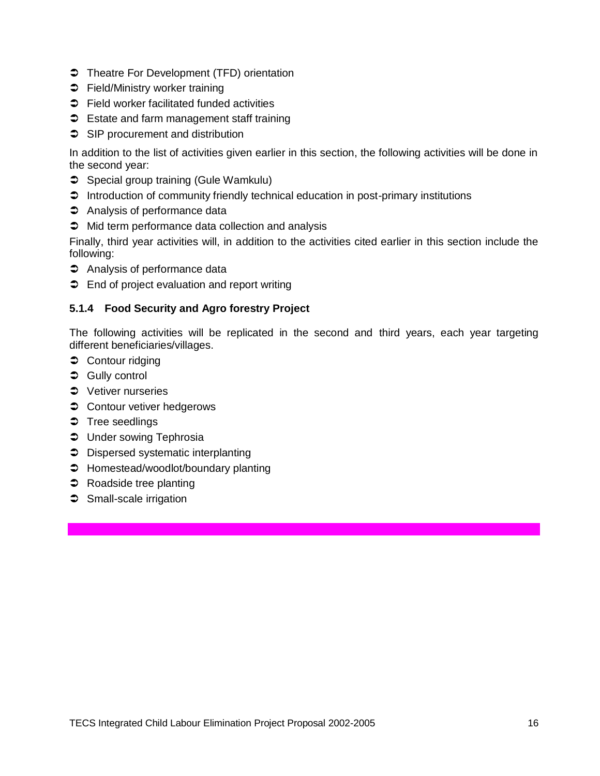- **◯** Theatre For Development (TFD) orientation
- **→** Field/Ministry worker training
- $\supset$  Field worker facilitated funded activities
- S Estate and farm management staff training
- SIP procurement and distribution

In addition to the list of activities given earlier in this section, the following activities will be done in the second year:

- Special group training (Gule Wamkulu)
- $\supset$  Introduction of community friendly technical education in post-primary institutions
- $\Rightarrow$  Analysis of performance data
- $\supset$  Mid term performance data collection and analysis

Finally, third year activities will, in addition to the activities cited earlier in this section include the following:

- $\Rightarrow$  Analysis of performance data
- $\supset$  End of project evaluation and report writing

### **5.1.4 Food Security and Agro forestry Project**

The following activities will be replicated in the second and third years, each year targeting different beneficiaries/villages.

- **◯** Contour ridging
- **→ Gully control**
- $\bullet$  Vetiver nurseries
- **Contour vetiver hedgerows**
- $\bullet$  Tree seedlings
- **C** Under sowing Tephrosia
- $\supset$  Dispersed systematic interplanting
- $\supset$  Homestead/woodlot/boundary planting
- **→** Roadside tree planting
- **◯** Small-scale irrigation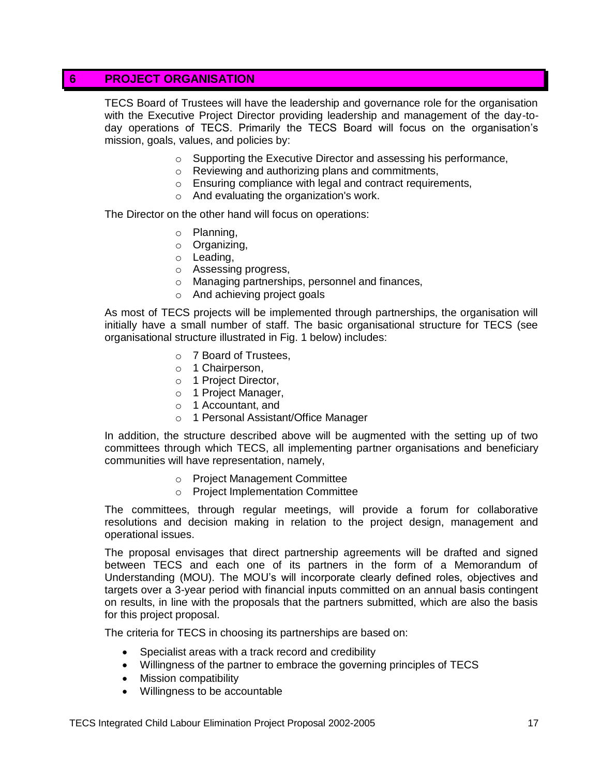## **6 PROJECT ORGANISATION**

TECS Board of Trustees will have the leadership and governance role for the organisation with the Executive Project Director providing leadership and management of the day-today operations of TECS. Primarily the TECS Board will focus on the organisation"s mission, goals, values, and policies by:

- o Supporting the Executive Director and assessing his performance,
- o Reviewing and authorizing plans and commitments,
- o Ensuring compliance with legal and contract requirements,
- o And evaluating the organization's work.

The Director on the other hand will focus on operations:

- o Planning,
- o Organizing,
- o Leading,
- o Assessing progress,
- o Managing partnerships, personnel and finances,
- o And achieving project goals

As most of TECS projects will be implemented through partnerships, the organisation will initially have a small number of staff. The basic organisational structure for TECS (see organisational structure illustrated in Fig. 1 below) includes:

- o 7 Board of Trustees,
- o 1 Chairperson,
- o 1 Project Director,
- o 1 Project Manager,
- o 1 Accountant, and
- o 1 Personal Assistant/Office Manager

In addition, the structure described above will be augmented with the setting up of two committees through which TECS, all implementing partner organisations and beneficiary communities will have representation, namely,

- o Project Management Committee
- o Project Implementation Committee

The committees, through regular meetings, will provide a forum for collaborative resolutions and decision making in relation to the project design, management and operational issues.

The proposal envisages that direct partnership agreements will be drafted and signed between TECS and each one of its partners in the form of a Memorandum of Understanding (MOU). The MOU"s will incorporate clearly defined roles, objectives and targets over a 3-year period with financial inputs committed on an annual basis contingent on results, in line with the proposals that the partners submitted, which are also the basis for this project proposal.

The criteria for TECS in choosing its partnerships are based on:

- Specialist areas with a track record and credibility
- Willingness of the partner to embrace the governing principles of TECS
- Mission compatibility
- Willingness to be accountable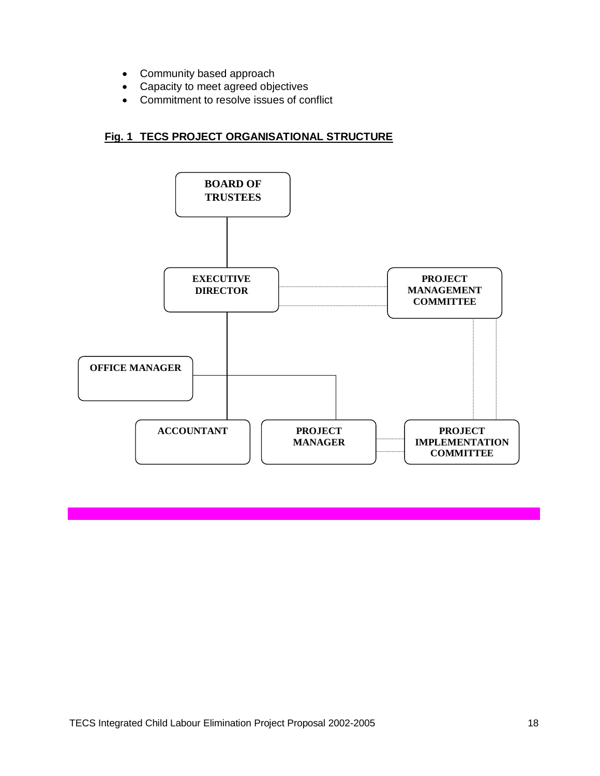- Community based approach
- Capacity to meet agreed objectives
- Commitment to resolve issues of conflict

## **Fig. 1 TECS PROJECT ORGANISATIONAL STRUCTURE**

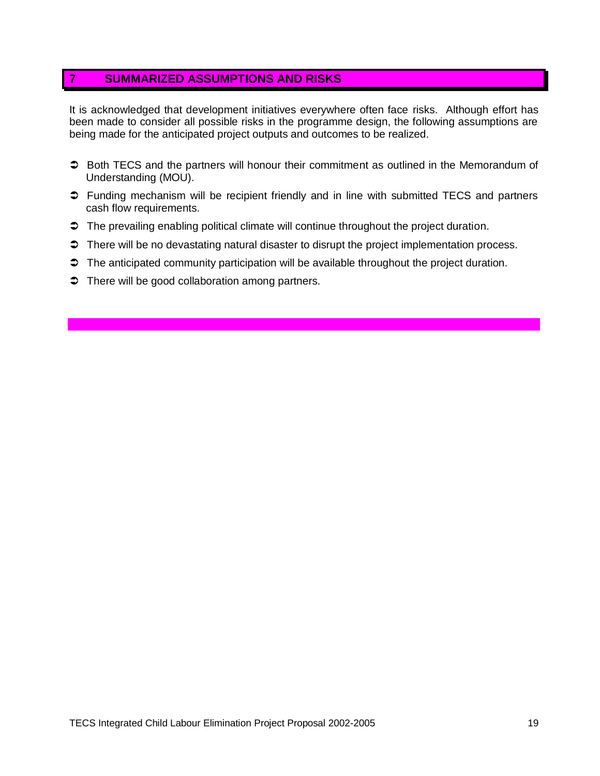## **7 SUMMARIZED ASSUMPTIONS AND RISKS**

It is acknowledged that development initiatives everywhere often face risks. Although effort has been made to consider all possible risks in the programme design, the following assumptions are being made for the anticipated project outputs and outcomes to be realized.

- **→** Both TECS and the partners will honour their commitment as outlined in the Memorandum of Understanding (MOU).
- Funding mechanism will be recipient friendly and in line with submitted TECS and partners cash flow requirements.
- $\supset$  The prevailing enabling political climate will continue throughout the project duration.
- $\supset$  There will be no devastating natural disaster to disrupt the project implementation process.
- $\supset$  The anticipated community participation will be available throughout the project duration.
- $\supset$  There will be good collaboration among partners.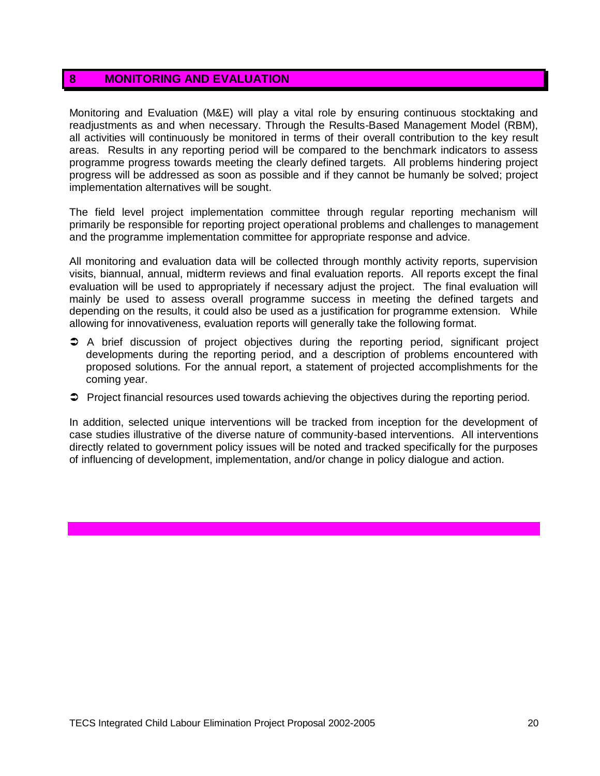## **8 MONITORING AND EVALUATION**

Monitoring and Evaluation (M&E) will play a vital role by ensuring continuous stocktaking and readjustments as and when necessary. Through the Results-Based Management Model (RBM), all activities will continuously be monitored in terms of their overall contribution to the key result areas. Results in any reporting period will be compared to the benchmark indicators to assess programme progress towards meeting the clearly defined targets. All problems hindering project progress will be addressed as soon as possible and if they cannot be humanly be solved; project implementation alternatives will be sought.

The field level project implementation committee through regular reporting mechanism will primarily be responsible for reporting project operational problems and challenges to management and the programme implementation committee for appropriate response and advice.

All monitoring and evaluation data will be collected through monthly activity reports, supervision visits, biannual, annual, midterm reviews and final evaluation reports. All reports except the final evaluation will be used to appropriately if necessary adjust the project. The final evaluation will mainly be used to assess overall programme success in meeting the defined targets and depending on the results, it could also be used as a justification for programme extension. While allowing for innovativeness, evaluation reports will generally take the following format.

- A brief discussion of project objectives during the reporting period, significant project developments during the reporting period, and a description of problems encountered with proposed solutions. For the annual report, a statement of projected accomplishments for the coming year.
- $\supset$  Project financial resources used towards achieving the objectives during the reporting period.

In addition, selected unique interventions will be tracked from inception for the development of case studies illustrative of the diverse nature of community-based interventions. All interventions directly related to government policy issues will be noted and tracked specifically for the purposes of influencing of development, implementation, and/or change in policy dialogue and action.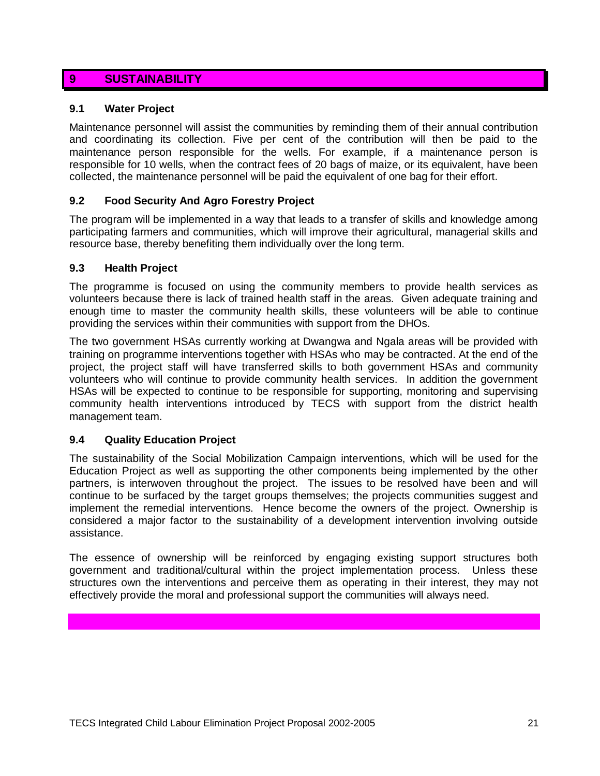## **9 SUSTAINABILITY**

#### **9.1 Water Project**

Maintenance personnel will assist the communities by reminding them of their annual contribution and coordinating its collection. Five per cent of the contribution will then be paid to the maintenance person responsible for the wells. For example, if a maintenance person is responsible for 10 wells, when the contract fees of 20 bags of maize, or its equivalent, have been collected, the maintenance personnel will be paid the equivalent of one bag for their effort.

### **9.2 Food Security And Agro Forestry Project**

The program will be implemented in a way that leads to a transfer of skills and knowledge among participating farmers and communities, which will improve their agricultural, managerial skills and resource base, thereby benefiting them individually over the long term.

#### **9.3 Health Project**

The programme is focused on using the community members to provide health services as volunteers because there is lack of trained health staff in the areas. Given adequate training and enough time to master the community health skills, these volunteers will be able to continue providing the services within their communities with support from the DHOs.

The two government HSAs currently working at Dwangwa and Ngala areas will be provided with training on programme interventions together with HSAs who may be contracted. At the end of the project, the project staff will have transferred skills to both government HSAs and community volunteers who will continue to provide community health services. In addition the government HSAs will be expected to continue to be responsible for supporting, monitoring and supervising community health interventions introduced by TECS with support from the district health management team.

### **9.4 Quality Education Project**

The sustainability of the Social Mobilization Campaign interventions, which will be used for the Education Project as well as supporting the other components being implemented by the other partners, is interwoven throughout the project. The issues to be resolved have been and will continue to be surfaced by the target groups themselves; the projects communities suggest and implement the remedial interventions. Hence become the owners of the project. Ownership is considered a major factor to the sustainability of a development intervention involving outside assistance.

The essence of ownership will be reinforced by engaging existing support structures both government and traditional/cultural within the project implementation process. Unless these structures own the interventions and perceive them as operating in their interest, they may not effectively provide the moral and professional support the communities will always need.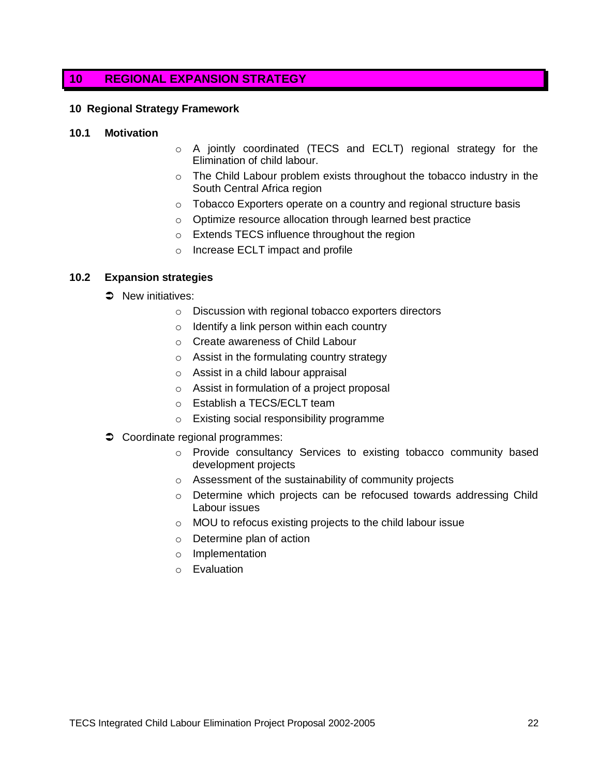## **10 REGIONAL EXPANSION STRATEGY**

#### **10 Regional Strategy Framework**

#### **10.1 Motivation**

- o A jointly coordinated (TECS and ECLT) regional strategy for the Elimination of child labour.
- $\circ$  The Child Labour problem exists throughout the tobacco industry in the South Central Africa region
- o Tobacco Exporters operate on a country and regional structure basis
- o Optimize resource allocation through learned best practice
- o Extends TECS influence throughout the region
- o Increase ECLT impact and profile

#### **10.2 Expansion strategies**

- $\Rightarrow$  New initiatives:
	- o Discussion with regional tobacco exporters directors
	- $\circ$  Identify a link person within each country
	- o Create awareness of Child Labour
	- o Assist in the formulating country strategy
	- o Assist in a child labour appraisal
	- o Assist in formulation of a project proposal
	- o Establish a TECS/ECLT team
	- o Existing social responsibility programme
- Coordinate regional programmes:
	- o Provide consultancy Services to existing tobacco community based development projects
	- o Assessment of the sustainability of community projects
	- o Determine which projects can be refocused towards addressing Child Labour issues
	- o MOU to refocus existing projects to the child labour issue
	- o Determine plan of action
	- o Implementation
	- o Evaluation